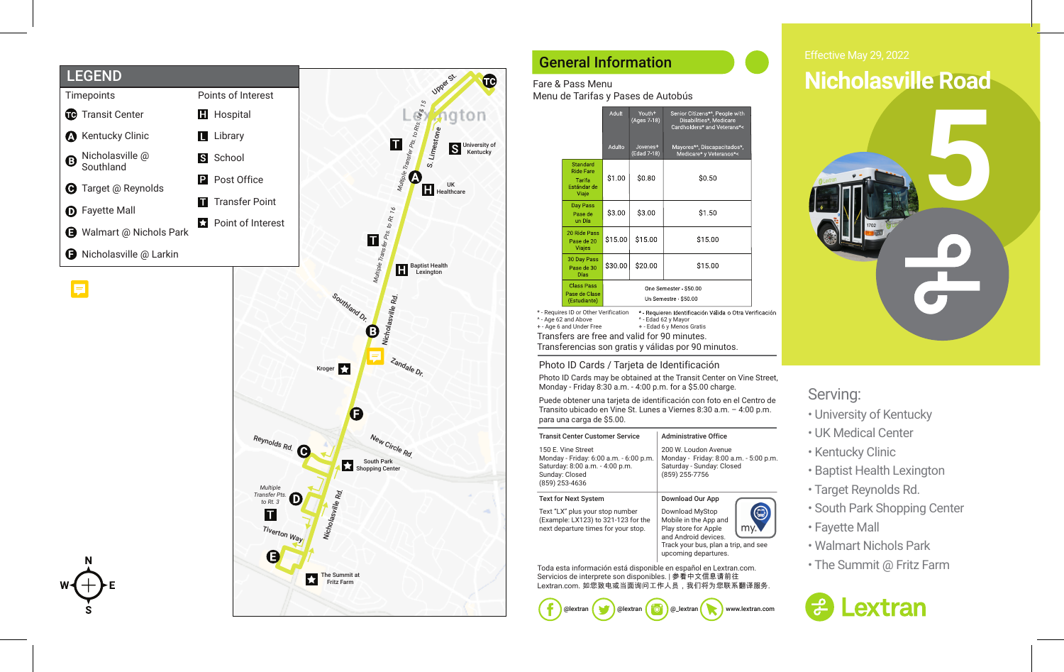



## General Information

## Fare & Pass Menu

Menu de Tarifas y Pases de Autobús

|                                                                | Adult                                       | Youth <sup>+</sup><br>(Ages 7-18)   | Senior Citizens*^, People with<br>Disabilities*, Medicare<br>Cardholders* and Veterans*< |
|----------------------------------------------------------------|---------------------------------------------|-------------------------------------|------------------------------------------------------------------------------------------|
|                                                                | Adulto                                      | Jovenes <sup>+</sup><br>(Edad 7-18) | Mayores*^, Discapacitados*,<br>Medicare* y Veteranos*<                                   |
| Standard<br><b>Ride Fare</b><br>Tarifa<br>Estándar de<br>Viaje | \$1.00                                      | \$0.80                              | \$0.50                                                                                   |
| Day Pass<br>Pase de<br>un Día                                  | \$3.00                                      | \$3.00                              | \$1.50                                                                                   |
| 20 Ride Pass<br>Pase de 20<br>Viajes                           | \$15.00<br>\$15.00                          |                                     | \$15.00                                                                                  |
| 30 Day Pass<br>Pase de 30<br><b>Días</b>                       | \$30.00                                     | \$20.00                             | \$15.00                                                                                  |
| <b>Class Pass</b><br>Pase de Clase<br>(Estudiante)             | One Semester \$50.00<br>Un Semestre \$50.00 |                                     |                                                                                          |

\* - Requires ID or Other Verification ^ - Age 62 and Above + - Age 6 and Under Free Transfers are free and valid for 90 minutes.<br>  $\frac{25}{25}$ <br>  $\frac{25}{25}$ <br>  $\frac{1}{25}$ <br>  $\frac{1}{25}$ <br>  $\frac{1}{25}$ <br>  $\frac{1}{25}$ <br>  $\frac{1}{25}$ <br>  $\frac{1}{25}$ <br>  $\frac{1}{25}$ <br>  $\frac{1}{25}$ <br>  $\frac{1}{25}$ <br>  $\frac{1}{25}$ <br>  $\frac{1}{25}$ <br>  $\frac{1}{25}$ <br>  $\frac{1}{$ Transferencias son gratis y válidas por 90 minutos. ^ - Edad 62 y Mayor<br>+ - Edad 6 y Menos Gratis

### Photo ID Cards / Tarjeta de Identificación

Photo ID Cards may be obtained at the Transit Center on Vine Street, Monday - Friday 8:30 a.m. - 4:00 p.m. for a \$5.00 charge.

Puede obtener una tarjeta de identificación con foto en el Centro de Transito ubicado en Vine St. Lunes a Viernes 8:30 a.m. – 4:00 p.m. para una carga de \$5.00.

| <b>Transit Center Customer Service</b>                                                                                              | <b>Administrative Office</b>                                                                                                                             |  |  |  |  |  |
|-------------------------------------------------------------------------------------------------------------------------------------|----------------------------------------------------------------------------------------------------------------------------------------------------------|--|--|--|--|--|
| 150 E. Vine Street<br>Monday - Friday: 6:00 a.m. - 6:00 p.m.<br>Saturday: 8:00 a.m. - 4:00 p.m.<br>Sunday: Closed<br>(859) 253-4636 | 200 W. Loudon Avenue<br>Monday - Friday: 8:00 a.m. - 5:00 p.m.<br>Saturday - Sunday: Closed<br>(859) 255-7756                                            |  |  |  |  |  |
| <b>Text for Next System</b>                                                                                                         | Download Our App                                                                                                                                         |  |  |  |  |  |
| Text "LX" plus your stop number<br>(Example: LX123) to 321-123 for the<br>next departure times for your stop.                       | Download MyStop<br>Mobile in the App and<br>Play store for Apple<br>and Android devices.<br>Track your bus, plan a trip, and see<br>upcoming departures. |  |  |  |  |  |

Toda esta información está disponible en español en Lextran.com. Servicios de interprete son disponibles. | 参看中文信息请前往 Lextran.com. 如您致电或当面询问工作人员, 我们将为您联系翻译服务.



# **Nicholasville Road**



## Serving:

- University of Kentucky
- UK Medical Center
- Kentucky Clinic
- Baptist Health Lexington
- Target Reynolds Rd.
- South Park Shopping Center
- Fayette Mall
- Walmart Nichols Park
- The Summit @ Fritz Farm